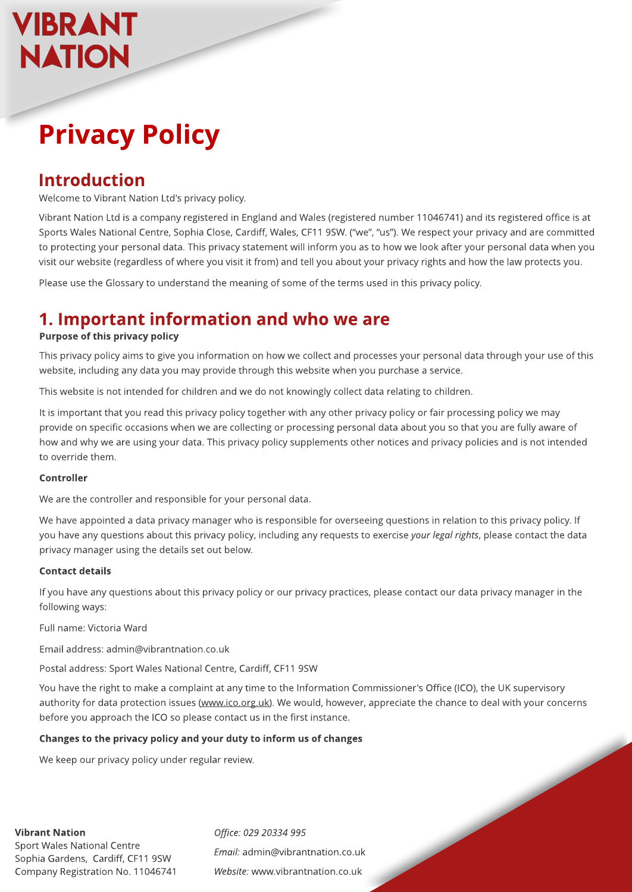# Privacy Policy

## **Introduction**

**VIBRANT** 

**NATION** 

Welcome to Vibrant Nation Ltd's privacy policy.

Vibrant Nation Ltd is a company registered in England and Wales (registered number 11046741) and its registered office is at Sports Wales National Centre, Sophia Close, Cardiff, Wales, CF11 9SW. ("we", "us"). We respect your privacy and are committed to protecting your personal data. This privacy statement will inform you as to how we look after your personal data when you visit our website (regardless of where you visit it from) and tell you about your privacy rights and how the law protects you.

Please use the Glossary to understand the meaning of some of the terms used in this privacy policy.

## 1. Important information and who we are

## Purpose of this privacy policy

This privacy policy aims to give you information on how we collect and processes your personal data through your use of this website, including any data you may provide through this website when you purchase a service.

This website is not intended for children and we do not knowingly collect data relating to children.

It is important that you read this privacy policy together with any other privacy policy or fair processing policy we may provide on specific occasions when we are collecting or processing personal data about you so that you are fully aware of how and why we are using your data. This privacy policy supplements other notices and privacy policies and is not intended to override them.

#### Controller

We are the controller and responsible for your personal data.

We have appointed a data privacy manager who is responsible for overseeing questions in relation to this privacy policy. If you have any questions about this privacy policy, including any requests to exercise **your legal rights**, please contact the data privacy manager using the details set out below.

## **Contact details**

If you have any questions about this privacy policy or our privacy practices, please contact our data privacy manager in the following ways:

Full name: Victoria Ward

Email address: admin@vibrantnation.co.uk

Postal address: Sport Wales National Centre, Cardiff, CF11 9SW

You have the right to make a complaint at any time to the Information Commissioner's Office (ICO), the UK supervisory authority for data protection issues (www.ico.org.uk). We would, however, appreciate the chance to deal with your concerns before you approach the ICO so please contact us in the first instance.

## Changes to the privacy policy and your duty to inform us of changes

We keep our privacy policy under regular review.

## **Vibrant Nation**

Sport Wales National Centre Sophia Gardens, Cardiff, CF11 9SW Company Registration No. 11046741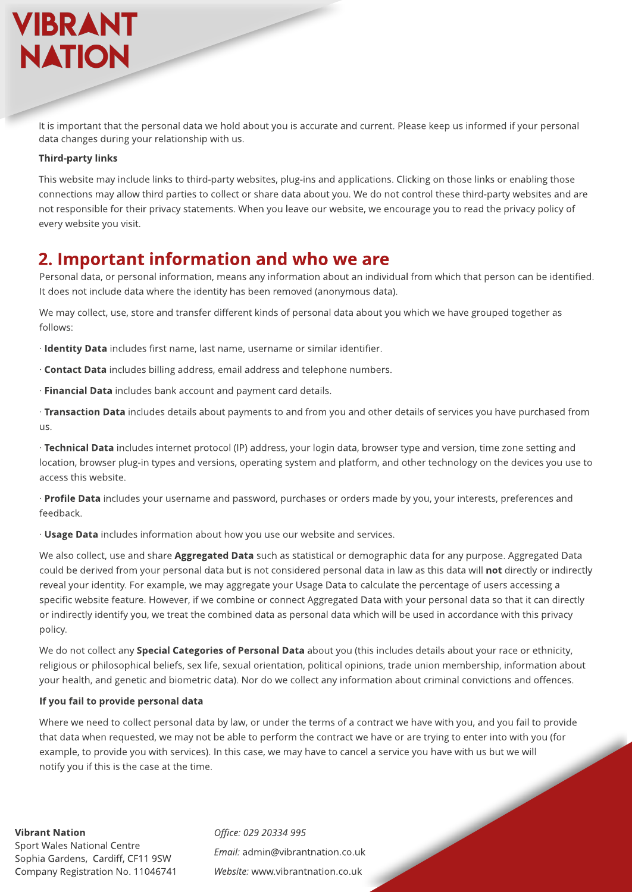It is important that the personal data we hold about you is accurate and current. Please keep us informed if your personal data changes during your relationship with us.

## **Third-party links**

This website may include links to third-party websites, plug-ins and applications. Clicking on those links or enabling those connections may allow third parties to collect or share data about you. We do not control these third-party websites and are not responsible for their privacy statements. When you leave our website, we encourage you to read the privacy policy of every website you visit.

## 2. Important information and who we are

Personal data, or personal information, means any information about an individual from which that person can be identified. It does not include data where the identity has been removed (anonymous data).

We may collect, use, store and transfer different kinds of personal data about you which we have grouped together as follows:

· Identity Data includes first name, last name, username or similar identifier.

· Contact Data includes billing address, email address and telephone numbers.

· Financial Data includes bank account and payment card details.

· Transaction Data includes details about payments to and from you and other details of services you have purchased from us.

· Technical Data includes internet protocol (IP) address, your login data, browser type and version, time zone setting and location, browser plug-in types and versions, operating system and platform, and other technology on the devices you use to access this website.

· Profile Data includes your username and password, purchases or orders made by you, your interests, preferences and feedback.

· Usage Data includes information about how you use our website and services.

We also collect, use and share **Aggregated Data** such as statistical or demographic data for any purpose. Aggregated Data could be derived from your personal data but is not considered personal data in law as this data will not directly or indirectly reveal your identity. For example, we may aggregate your Usage Data to calculate the percentage of users accessing a specific website feature. However, if we combine or connect Aggregated Data with your personal data so that it can directly or indirectly identify you, we treat the combined data as personal data which will be used in accordance with this privacy policy.

We do not collect any **Special Categories of Personal Data** about you (this includes details about your race or ethnicity, religious or philosophical beliefs, sex life, sexual orientation, political opinions, trade union membership, information about your health, and genetic and biometric data). Nor do we collect any information about criminal convictions and offences.

## If you fail to provide personal data

Where we need to collect personal data by law, or under the terms of a contract we have with you, and you fail to provide that data when requested, we may not be able to perform the contract we have or are trying to enter into with you (for example, to provide you with services). In this case, we may have to cancel a service you have with us but we will notify you if this is the case at the time.

## **Vibrant Nation**

Sport Wales National Centre Sophia Gardens, Cardiff, CF11 9SW Company Registration No. 11046741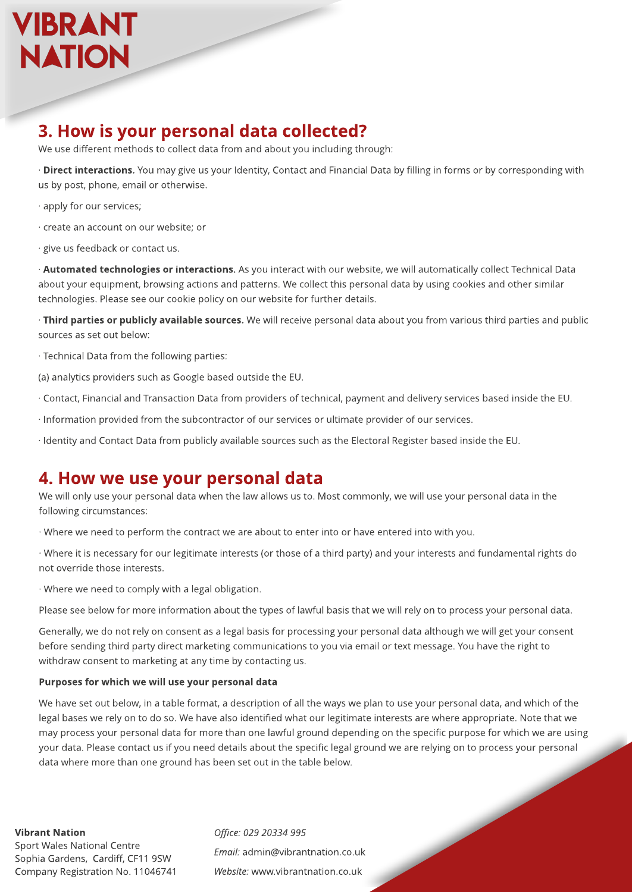## 3. How is your personal data collected?

We use different methods to collect data from and about you including through:

· Direct interactions. You may give us your Identity, Contact and Financial Data by filling in forms or by corresponding with us by post, phone, email or otherwise.

- · apply for our services;
- · create an account on our website; or
- · give us feedback or contact us.

· Automated technologies or interactions. As you interact with our website, we will automatically collect Technical Data about your equipment, browsing actions and patterns. We collect this personal data by using cookies and other similar technologies. Please see our cookie policy on our website for further details.

· Third parties or publicly available sources. We will receive personal data about you from various third parties and public sources as set out below:

· Technical Data from the following parties:

(a) analytics providers such as Google based outside the EU.

· Contact, Financial and Transaction Data from providers of technical, payment and delivery services based inside the EU.

· Information provided from the subcontractor of our services or ultimate provider of our services.

· Identity and Contact Data from publicly available sources such as the Electoral Register based inside the EU.

## 4. How we use your personal data

We will only use your personal data when the law allows us to. Most commonly, we will use your personal data in the following circumstances:

· Where we need to perform the contract we are about to enter into or have entered into with you.

· Where it is necessary for our legitimate interests (or those of a third party) and your interests and fundamental rights do not override those interests.

· Where we need to comply with a legal obligation.

Please see below for more information about the types of lawful basis that we will rely on to process your personal data.

Generally, we do not rely on consent as a legal basis for processing your personal data although we will get your consent before sending third party direct marketing communications to you via email or text message. You have the right to withdraw consent to marketing at any time by contacting us.

## Purposes for which we will use your personal data

We have set out below, in a table format, a description of all the ways we plan to use your personal data, and which of the legal bases we rely on to do so. We have also identified what our legitimate interests are where appropriate. Note that we may process your personal data for more than one lawful ground depending on the specific purpose for which we are using your data. Please contact us if you need details about the specific legal ground we are relying on to process your personal data where more than one ground has been set out in the table below.

## **Vibrant Nation**

Sport Wales National Centre Sophia Gardens, Cardiff, CF11 9SW Company Registration No. 11046741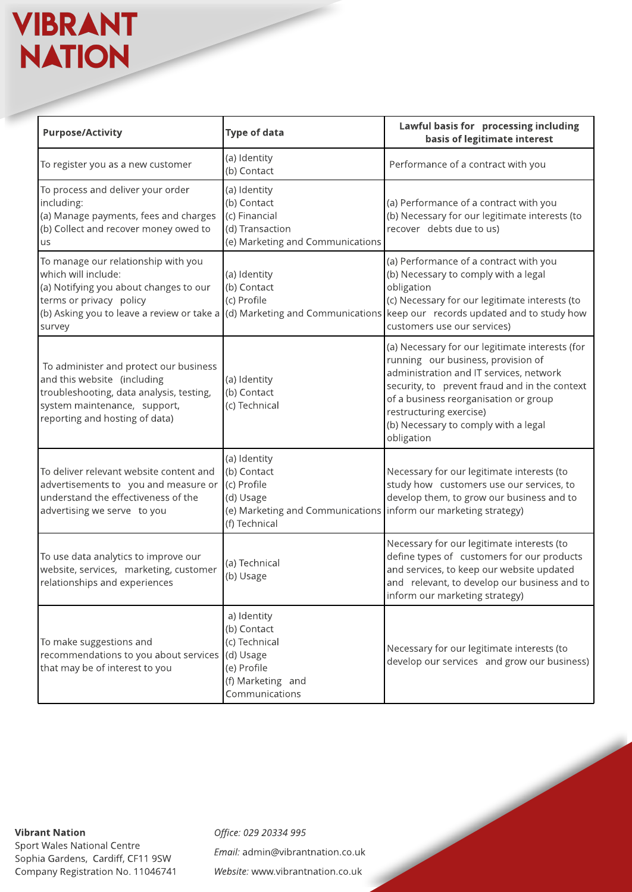# **VIBRANT<br>NATION**

| <b>Purpose/Activity</b>                                                                                                                                                                 | <b>Type of data</b>                                                                                            | Lawful basis for processing including<br>basis of legitimate interest                                                                                                                                                                                                                                       |
|-----------------------------------------------------------------------------------------------------------------------------------------------------------------------------------------|----------------------------------------------------------------------------------------------------------------|-------------------------------------------------------------------------------------------------------------------------------------------------------------------------------------------------------------------------------------------------------------------------------------------------------------|
| To register you as a new customer                                                                                                                                                       | (a) Identity<br>(b) Contact                                                                                    | Performance of a contract with you                                                                                                                                                                                                                                                                          |
| To process and deliver your order<br>including:<br>(a) Manage payments, fees and charges<br>(b) Collect and recover money owed to<br>us                                                 | (a) Identity<br>(b) Contact<br>(c) Financial<br>(d) Transaction<br>(e) Marketing and Communications            | (a) Performance of a contract with you<br>(b) Necessary for our legitimate interests (to<br>recover debts due to us)                                                                                                                                                                                        |
| To manage our relationship with you<br>which will include:<br>(a) Notifying you about changes to our<br>terms or privacy policy<br>(b) Asking you to leave a review or take a<br>survey | (a) Identity<br>(b) Contact<br>(c) Profile<br>(d) Marketing and Communications                                 | (a) Performance of a contract with you<br>(b) Necessary to comply with a legal<br>obligation<br>(c) Necessary for our legitimate interests (to<br>keep our records updated and to study how<br>customers use our services)                                                                                  |
| To administer and protect our business<br>and this website (including<br>troubleshooting, data analysis, testing,<br>system maintenance, support,<br>reporting and hosting of data)     | (a) Identity<br>(b) Contact<br>(c) Technical                                                                   | (a) Necessary for our legitimate interests (for<br>running our business, provision of<br>administration and IT services, network<br>security, to prevent fraud and in the context<br>of a business reorganisation or group<br>restructuring exercise)<br>(b) Necessary to comply with a legal<br>obligation |
| To deliver relevant website content and<br>advertisements to you and measure or<br>understand the effectiveness of the<br>advertising we serve to you                                   | (a) Identity<br>(b) Contact<br>(c) Profile<br>(d) Usage<br>(e) Marketing and Communications<br>(f) Technical   | Necessary for our legitimate interests (to<br>study how customers use our services, to<br>develop them, to grow our business and to<br>inform our marketing strategy)                                                                                                                                       |
| To use data analytics to improve our<br>website, services, marketing, customer<br>relationships and experiences                                                                         | (a) Technical<br>(b) Usage                                                                                     | Necessary for our legitimate interests (to<br>define types of customers for our products<br>and services, to keep our website updated<br>and relevant, to develop our business and to<br>inform our marketing strategy)                                                                                     |
| To make suggestions and<br>recommendations to you about services<br>that may be of interest to you                                                                                      | a) Identity<br>(b) Contact<br>(c) Technical<br>(d) Usage<br>(e) Profile<br>(f) Marketing and<br>Communications | Necessary for our legitimate interests (to<br>develop our services and grow our business)                                                                                                                                                                                                                   |

**Vibrant Nation** Sport Wales National Centre Sophia Gardens, Cardiff, CF11 9SW Company Registration No. 11046741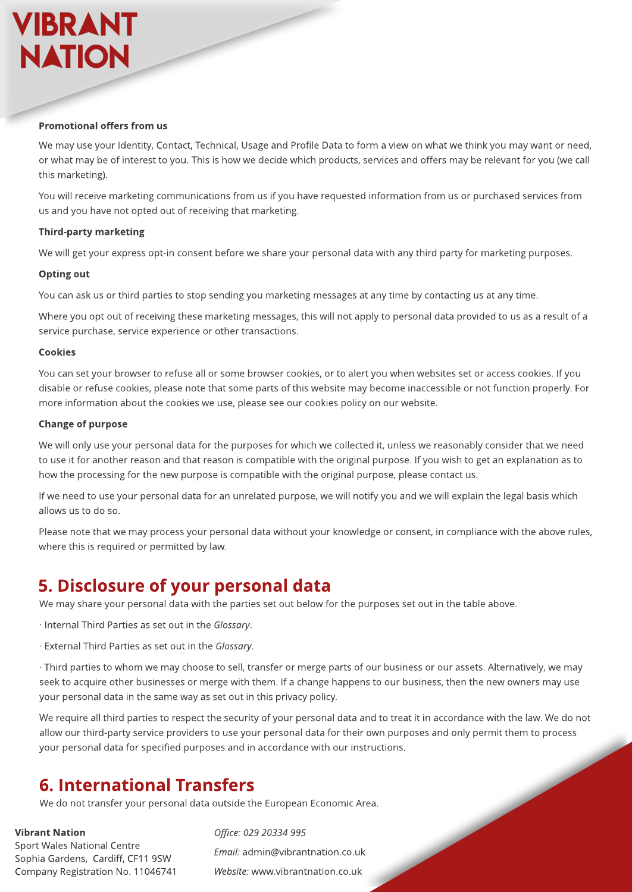## Promotional offers from us

We may use your Identity, Contact, Technical, Usage and Profile Data to form a view on what we think you may want or need, or what may be of interest to you. This is how we decide which products, services and offers may be relevant for you (we call this marketing).

You will receive marketing communications from us if you have requested information from us or purchased services from us and you have not opted out of receiving that marketing.

## Third-party marketing

We will get your express opt-in consent before we share your personal data with any third party for marketing purposes.

## **Opting out**

You can ask us or third parties to stop sending you marketing messages at any time by contacting us at any time.

Where you opt out of receiving these marketing messages, this will not apply to personal data provided to us as a result of a service purchase, service experience or other transactions.

## Cookies

You can set your browser to refuse all or some browser cookies, or to alert you when websites set or access cookies. If you disable or refuse cookies, please note that some parts of this website may become inaccessible or not function properly. For more information about the cookies we use, please see our cookies policy on our website.

## Change of purpose

We will only use your personal data for the purposes for which we collected it, unless we reasonably consider that we need to use it for another reason and that reason is compatible with the original purpose. If you wish to get an explanation as to how the processing for the new purpose is compatible with the original purpose, please contact us.

If we need to use your personal data for an unrelated purpose, we will notify you and we will explain the legal basis which allows us to do so.

Please note that we may process your personal data without your knowledge or consent, in compliance with the above rules, where this is required or permitted by law.

## 5. Disclosure of your personal data

We may share your personal data with the parties set out below for the purposes set out in the table above.

· Internal Third Parties as set out in the **Glossary**.

· External Third Parties as set out in the **Glossary**.

· Third parties to whom we may choose to sell, transfer or merge parts of our business or our assets. Alternatively, we may seek to acquire other businesses or merge with them. If a change happens to our business, then the new owners may use your personal data in the same way as set out in this privacy policy.

We require all third parties to respect the security of your personal data and to treat it in accordance with the law. We do not allow our third-party service providers to use your personal data for their own purposes and only permit them to process your personal data for specified purposes and in accordance with our instructions.

## 6. International Transfers

We do not transfer your personal data outside the European Economic Area.

## **Vibrant Nation**

Sport Wales National Centre Sophia Gardens, Cardiff, CF11 9SW Company Registration No. 11046741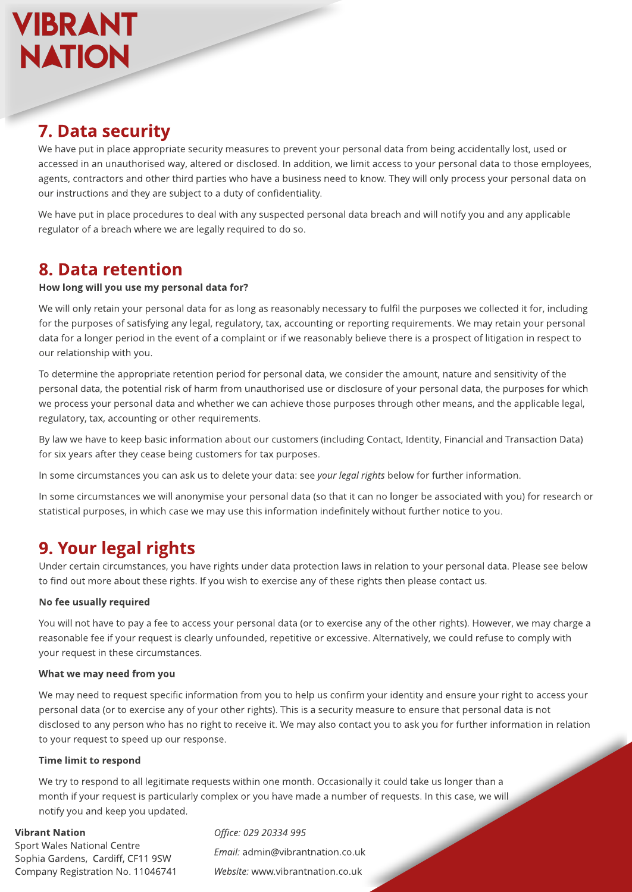## 7. Data security

We have put in place appropriate security measures to prevent your personal data from being accidentally lost, used or accessed in an unauthorised way, altered or disclosed. In addition, we limit access to your personal data to those employees, agents, contractors and other third parties who have a business need to know. They will only process your personal data on our instructions and they are subject to a duty of confidentiality.

We have put in place procedures to deal with any suspected personal data breach and will notify you and any applicable regulator of a breach where we are legally required to do so.

## 8. Data retention

## How long will you use my personal data for?

We will only retain your personal data for as long as reasonably necessary to fulfil the purposes we collected it for, including for the purposes of satisfying any legal, regulatory, tax, accounting or reporting requirements. We may retain your personal data for a longer period in the event of a complaint or if we reasonably believe there is a prospect of litigation in respect to our relationship with you.

To determine the appropriate retention period for personal data, we consider the amount, nature and sensitivity of the personal data, the potential risk of harm from unauthorised use or disclosure of your personal data, the purposes for which we process your personal data and whether we can achieve those purposes through other means, and the applicable legal, regulatory, tax, accounting or other requirements.

By law we have to keep basic information about our customers (including Contact, Identity, Financial and Transaction Data) for six years after they cease being customers for tax purposes.

In some circumstances you can ask us to delete your data: see **your legal rights**below for further information.

In some circumstances we will anonymise your personal data (so that it can no longer be associated with you) for research or statistical purposes, in which case we may use this information indefinitely without further notice to you.

## 9. Your legal rights

Under certain circumstances, you have rights under data protection laws in relation to your personal data. Please see below to find out more about these rights. If you wish to exercise any of these rights then please contact us.

## No fee usually required

You will not have to pay a fee to access your personal data (or to exercise any of the other rights). However, we may charge a reasonable fee if your request is clearly unfounded, repetitive or excessive. Alternatively, we could refuse to comply with your request in these circumstances.

## What we may need from you

We may need to request specific information from you to help us confirm your identity and ensure your right to access your personal data (or to exercise any of your other rights). This is a security measure to ensure that personal data is not disclosed to any person who has no right to receive it. We may also contact you to ask you for further information in relation to your request to speed up our response.

## Time limit to respond

We try to respond to all legitimate requests within one month. Occasionally it could take us longer than a month if your request is particularly complex or you have made a number of requests. In this case, we will notify you and keep you updated.

## **Vibrant Nation**

Sport Wales National Centre Sophia Gardens, Cardiff, CF11 9SW Company Registration No. 11046741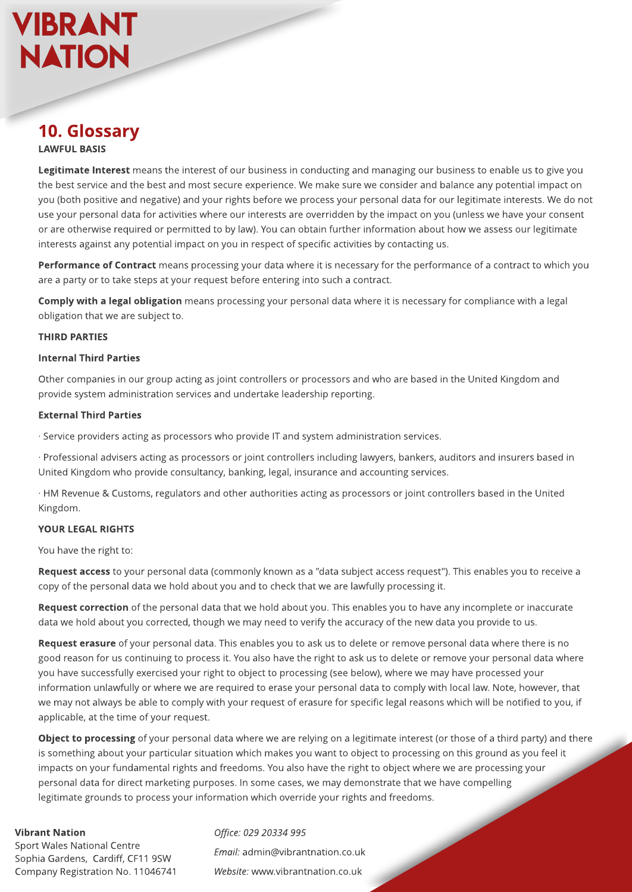

## 10. Glossary

## LAWFUL BASIS

Legitimate Interest means the interest of our business in conducting and managing our business to enable us to give you the best service and the best and most secure experience. We make sure we consider and balance any potential impact on you (both positive and negative) and your rights before we process your personal data for our legitimate interests. We do not use your personal data for activities where our interests are overridden by the impact on you (unless we have your consent or are otherwise required or permitted to by law). You can obtain further information about how we assess our legitimate interests against any potential impact on you in respect of specific activities by contacting us.

Performance of Contract means processing your data where it is necessary for the performance of a contract to which you are a party or to take steps at your request before entering into such a contract.

Comply with a legal obligation means processing your personal data where it is necessary for compliance with a legal obligation that we are subject to.

## THIRD PARTIES

#### **Internal Third Parties**

Other companies in our group acting as joint controllers or processors and who are based in the United Kingdom and provide system administration services and undertake leadership reporting.

#### **External Third Parties**

· Service providers acting as processors who provide IT and system administration services.

· Professional advisers acting as processors or joint controllers including lawyers, bankers, auditors and insurers based in United Kingdom who provide consultancy, banking, legal, insurance and accounting services.

· HM Revenue & Customs, regulators and other authorities acting as processors or joint controllers based in the United Kingdom.

## YOUR LEGAL RIGHTS

You have the right to:

Request access to your personal data (commonly known as a "data subject access request"). This enables you to receive a copy of the personal data we hold about you and to check that we are lawfully processing it.

Request correction of the personal data that we hold about you. This enables you to have any incomplete or inaccurate data we hold about you corrected, though we may need to verify the accuracy of the new data you provide to us.

Request erasure of your personal data. This enables you to ask us to delete or remove personal data where there is no good reason for us continuing to process it. You also have the right to ask us to delete or remove your personal data where you have successfully exercised your right to object to processing (see below), where we may have processed your information unlawfully or where we are required to erase your personal data to comply with local law. Note, however, that we may not always be able to comply with your request of erasure for specific legal reasons which will be notified to you, if applicable, at the time of your request.

Object to processing of your personal data where we are relying on a legitimate interest (or those of a third party) and there is something about your particular situation which makes you want to object to processing on this ground as you feel it impacts on your fundamental rights and freedoms. You also have the right to object where we are processing your personal data for direct marketing purposes. In some cases, we may demonstrate that we have compelling legitimate grounds to process your information which override your rights and freedoms.

#### **Vibrant Nation**

Sport Wales National Centre Sophia Gardens, Cardiff, CF11 9SW Company Registration No. 11046741